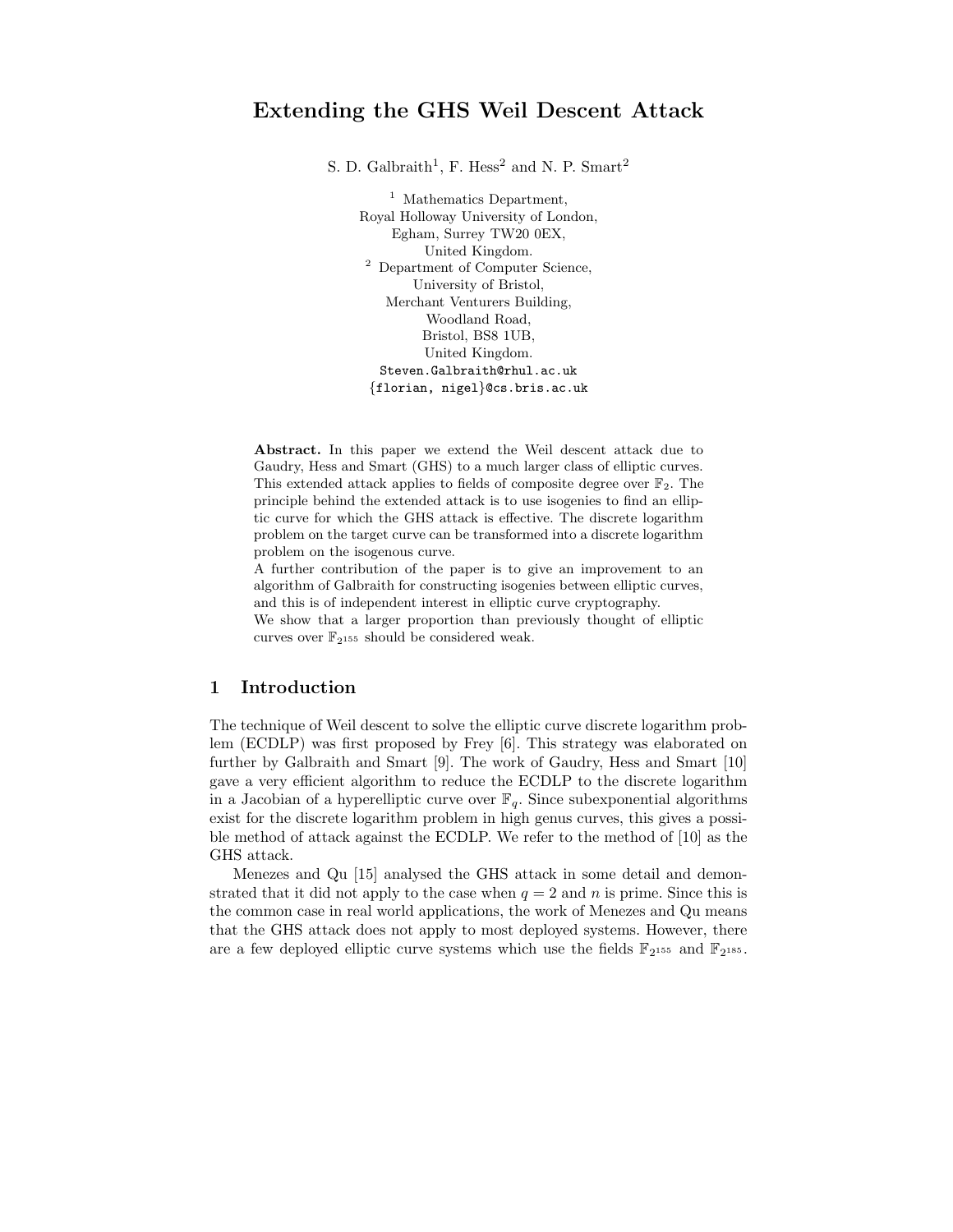# Extending the GHS Weil Descent Attack

S. D. Galbraith<sup>1</sup>, F. Hess<sup>2</sup> and N. P. Smart<sup>2</sup>

<sup>1</sup> Mathematics Department, Royal Holloway University of London, Egham, Surrey TW20 0EX, United Kingdom. <sup>2</sup> Department of Computer Science, University of Bristol, Merchant Venturers Building, Woodland Road, Bristol, BS8 1UB, United Kingdom. Steven.Galbraith@rhul.ac.uk {florian, nigel}@cs.bris.ac.uk

Abstract. In this paper we extend the Weil descent attack due to Gaudry, Hess and Smart (GHS) to a much larger class of elliptic curves. This extended attack applies to fields of composite degree over  $\mathbb{F}_2$ . The principle behind the extended attack is to use isogenies to find an elliptic curve for which the GHS attack is effective. The discrete logarithm problem on the target curve can be transformed into a discrete logarithm problem on the isogenous curve.

A further contribution of the paper is to give an improvement to an algorithm of Galbraith for constructing isogenies between elliptic curves, and this is of independent interest in elliptic curve cryptography.

We show that a larger proportion than previously thought of elliptic curves over  $\mathbb{F}_{2^{155}}$  should be considered weak.

# 1 Introduction

The technique of Weil descent to solve the elliptic curve discrete logarithm problem (ECDLP) was first proposed by Frey [6]. This strategy was elaborated on further by Galbraith and Smart [9]. The work of Gaudry, Hess and Smart [10] gave a very efficient algorithm to reduce the ECDLP to the discrete logarithm in a Jacobian of a hyperelliptic curve over  $\mathbb{F}_q$ . Since subexponential algorithms exist for the discrete logarithm problem in high genus curves, this gives a possible method of attack against the ECDLP. We refer to the method of [10] as the GHS attack.

Menezes and Qu [15] analysed the GHS attack in some detail and demonstrated that it did not apply to the case when  $q = 2$  and n is prime. Since this is the common case in real world applications, the work of Menezes and Qu means that the GHS attack does not apply to most deployed systems. However, there are a few deployed elliptic curve systems which use the fields  $\mathbb{F}_{2^{155}}$  and  $\mathbb{F}_{2^{185}}$ .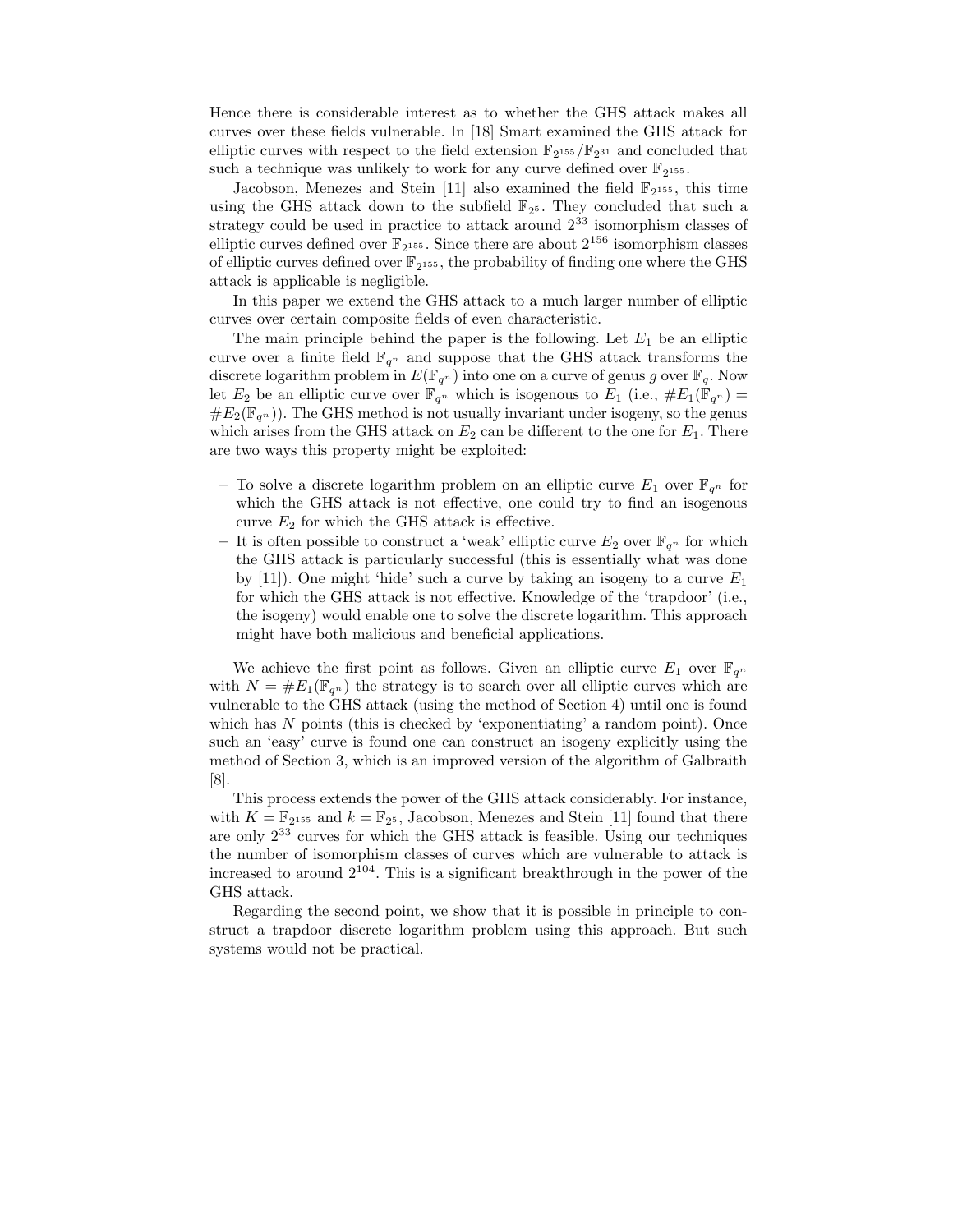Hence there is considerable interest as to whether the GHS attack makes all curves over these fields vulnerable. In [18] Smart examined the GHS attack for elliptic curves with respect to the field extension  $\mathbb{F}_{2^{155}}/\mathbb{F}_{2^{31}}$  and concluded that such a technique was unlikely to work for any curve defined over  $\mathbb{F}_{2^{155}}$ .

Jacobson, Menezes and Stein [11] also examined the field  $\mathbb{F}_{2^{155}}$ , this time using the GHS attack down to the subfield  $\mathbb{F}_{2^5}$ . They concluded that such a strategy could be used in practice to attack around 2 <sup>33</sup> isomorphism classes of elliptic curves defined over  $\mathbb{F}_{2^{155}}$ . Since there are about  $2^{156}$  isomorphism classes of elliptic curves defined over  $\mathbb{F}_{2^{155}}$ , the probability of finding one where the GHS attack is applicable is negligible.

In this paper we extend the GHS attack to a much larger number of elliptic curves over certain composite fields of even characteristic.

The main principle behind the paper is the following. Let  $E_1$  be an elliptic curve over a finite field  $\mathbb{F}_{q^n}$  and suppose that the GHS attack transforms the discrete logarithm problem in  $E(\mathbb{F}_{q^n})$  into one on a curve of genus g over  $\mathbb{F}_q$ . Now let  $E_2$  be an elliptic curve over  $\mathbb{F}_{q^n}$  which is isogenous to  $E_1$  (i.e.,  $\#E_1(\mathbb{F}_{q^n}) =$  $\#E_2(\mathbb{F}_{q^n})$ . The GHS method is not usually invariant under isogeny, so the genus which arises from the GHS attack on  $E_2$  can be different to the one for  $E_1$ . There are two ways this property might be exploited:

- To solve a discrete logarithm problem on an elliptic curve  $E_1$  over  $\mathbb{F}_{q^n}$  for which the GHS attack is not effective, one could try to find an isogenous curve  $E_2$  for which the GHS attack is effective.
- It is often possible to construct a 'weak' elliptic curve  $E_2$  over  $\mathbb{F}_{q^n}$  for which the GHS attack is particularly successful (this is essentially what was done by [11]). One might 'hide' such a curve by taking an isogeny to a curve  $E_1$ for which the GHS attack is not effective. Knowledge of the 'trapdoor' (i.e., the isogeny) would enable one to solve the discrete logarithm. This approach might have both malicious and beneficial applications.

We achieve the first point as follows. Given an elliptic curve  $E_1$  over  $\mathbb{F}_{q^n}$ with  $N = \#E_1(\mathbb{F}_{q^n})$  the strategy is to search over all elliptic curves which are vulnerable to the GHS attack (using the method of Section 4) until one is found which has  $N$  points (this is checked by 'exponentiating' a random point). Once such an 'easy' curve is found one can construct an isogeny explicitly using the method of Section 3, which is an improved version of the algorithm of Galbraith [8].

This process extends the power of the GHS attack considerably. For instance, with  $K = \mathbb{F}_{2^{155}}$  and  $k = \mathbb{F}_{2^5}$ , Jacobson, Menezes and Stein [11] found that there are only 2 <sup>33</sup> curves for which the GHS attack is feasible. Using our techniques the number of isomorphism classes of curves which are vulnerable to attack is increased to around  $2^{104}$ . This is a significant breakthrough in the power of the GHS attack.

Regarding the second point, we show that it is possible in principle to construct a trapdoor discrete logarithm problem using this approach. But such systems would not be practical.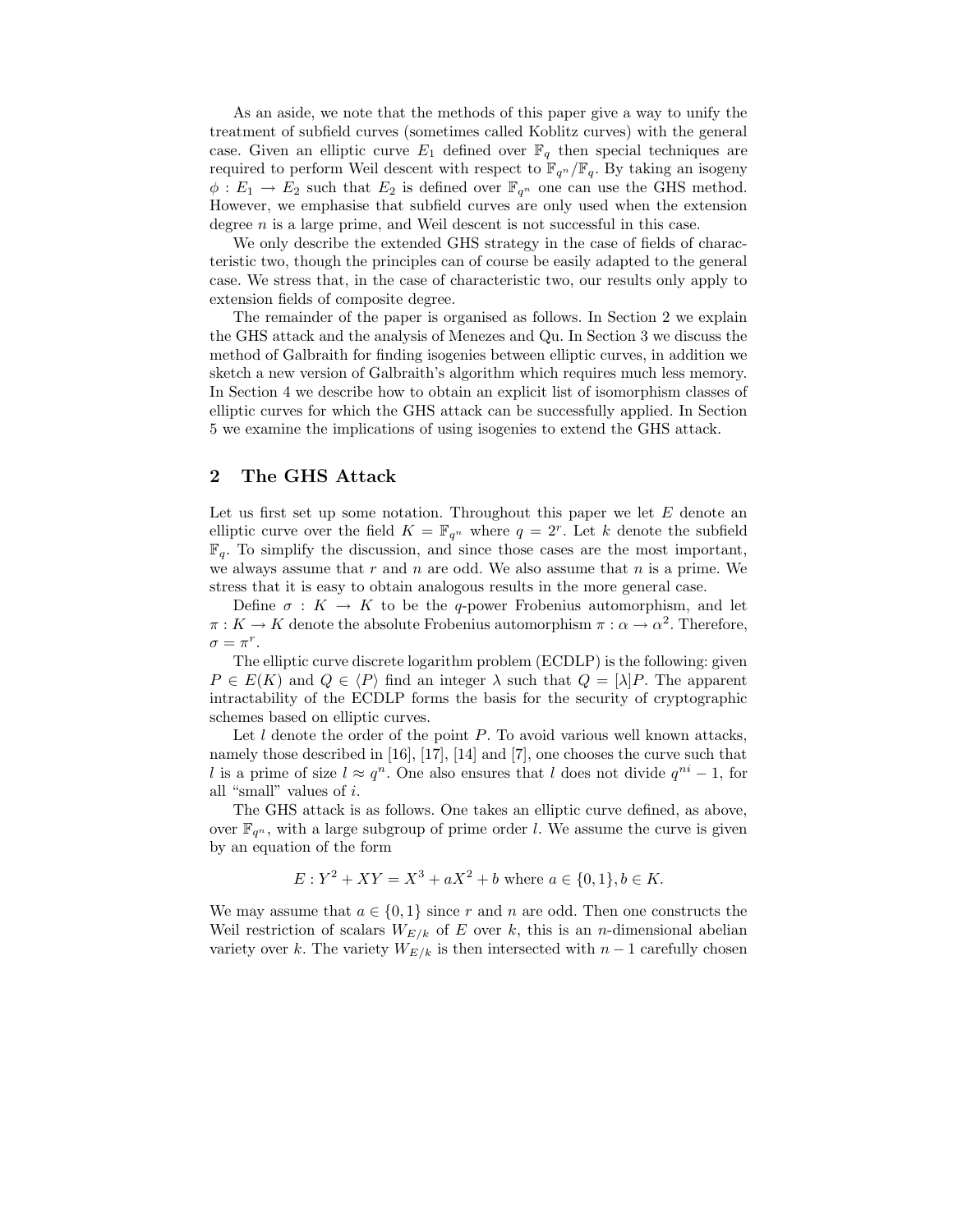As an aside, we note that the methods of this paper give a way to unify the treatment of subfield curves (sometimes called Koblitz curves) with the general case. Given an elliptic curve  $E_1$  defined over  $\mathbb{F}_q$  then special techniques are required to perform Weil descent with respect to  $\mathbb{F}_{q^n}/\mathbb{F}_q$ . By taking an isogeny  $\phi: E_1 \to E_2$  such that  $E_2$  is defined over  $\mathbb{F}_{q^n}$  one can use the GHS method. However, we emphasise that subfield curves are only used when the extension degree  $n$  is a large prime, and Weil descent is not successful in this case.

We only describe the extended GHS strategy in the case of fields of characteristic two, though the principles can of course be easily adapted to the general case. We stress that, in the case of characteristic two, our results only apply to extension fields of composite degree.

The remainder of the paper is organised as follows. In Section 2 we explain the GHS attack and the analysis of Menezes and Qu. In Section 3 we discuss the method of Galbraith for finding isogenies between elliptic curves, in addition we sketch a new version of Galbraith's algorithm which requires much less memory. In Section 4 we describe how to obtain an explicit list of isomorphism classes of elliptic curves for which the GHS attack can be successfully applied. In Section 5 we examine the implications of using isogenies to extend the GHS attack.

### 2 The GHS Attack

Let us first set up some notation. Throughout this paper we let  $E$  denote an elliptic curve over the field  $K = \mathbb{F}_{q^n}$  where  $q = 2^r$ . Let k denote the subfield  $\mathbb{F}_q$ . To simplify the discussion, and since those cases are the most important, we always assume that  $r$  and  $n$  are odd. We also assume that  $n$  is a prime. We stress that it is easy to obtain analogous results in the more general case.

Define  $\sigma: K \to K$  to be the q-power Frobenius automorphism, and let  $\pi: K \to K$  denote the absolute Frobenius automorphism  $\pi: \alpha \to \alpha^2$ . Therefore,  $\sigma = \pi^r$ .

The elliptic curve discrete logarithm problem (ECDLP) is the following: given  $P \in E(K)$  and  $Q \in \langle P \rangle$  find an integer  $\lambda$  such that  $Q = [\lambda]P$ . The apparent intractability of the ECDLP forms the basis for the security of cryptographic schemes based on elliptic curves.

Let  $l$  denote the order of the point  $P$ . To avoid various well known attacks, namely those described in [16], [17], [14] and [7], one chooses the curve such that l is a prime of size  $l \approx q^n$ . One also ensures that l does not divide  $q^{ni} - 1$ , for all "small" values of i.

The GHS attack is as follows. One takes an elliptic curve defined, as above, over  $\mathbb{F}_{q^n}$ , with a large subgroup of prime order l. We assume the curve is given by an equation of the form

$$
E: Y^2 + XY = X^3 + aX^2 + b \text{ where } a \in \{0, 1\}, b \in K.
$$

We may assume that  $a \in \{0,1\}$  since r and n are odd. Then one constructs the Weil restriction of scalars  $W_{E/k}$  of E over k, this is an n-dimensional abelian variety over k. The variety  $W_{E/k}$  is then intersected with  $n-1$  carefully chosen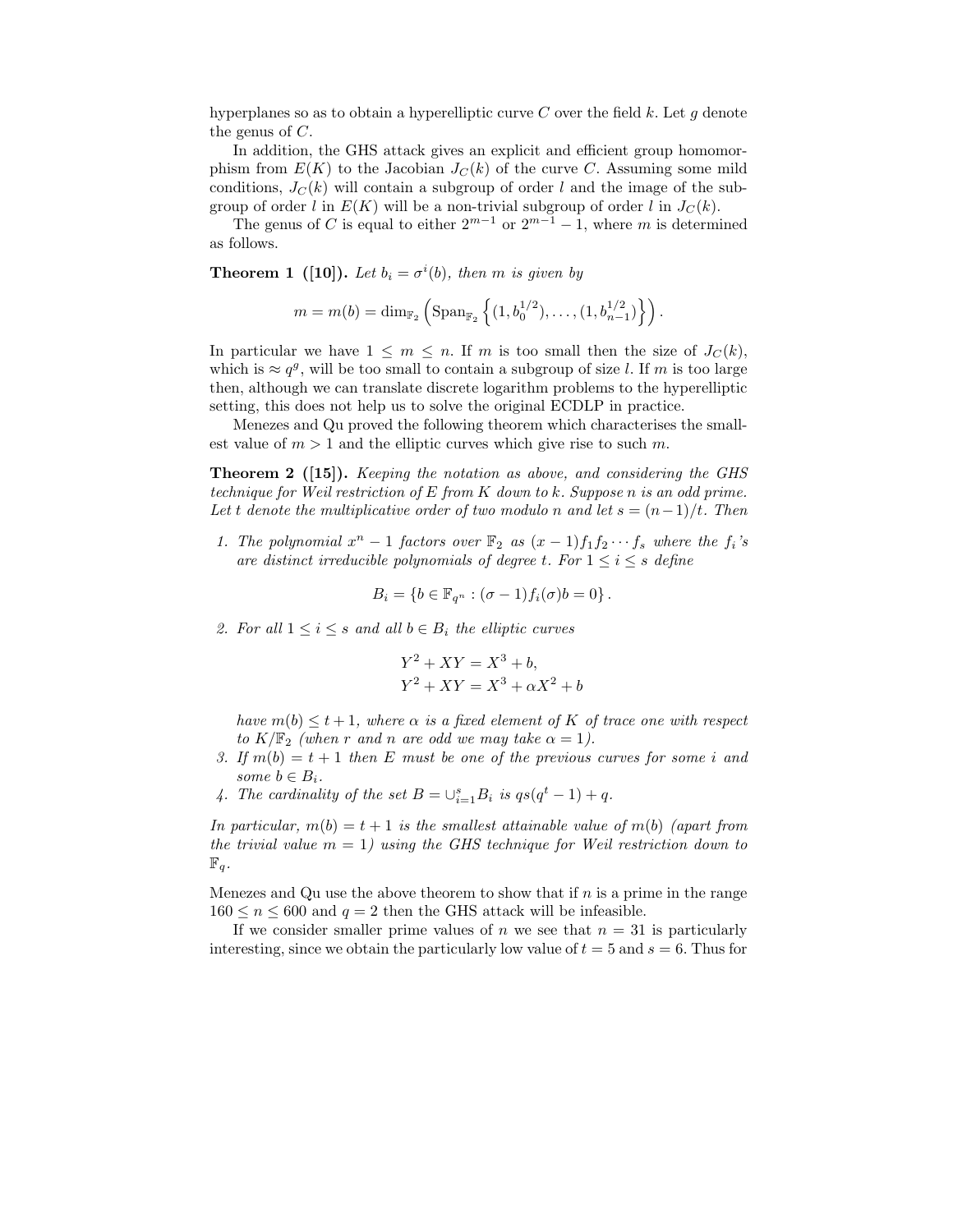hyperplanes so as to obtain a hyperelliptic curve C over the field k. Let q denote the genus of C.

In addition, the GHS attack gives an explicit and efficient group homomorphism from  $E(K)$  to the Jacobian  $J<sub>C</sub>(k)$  of the curve C. Assuming some mild conditions,  $J<sub>C</sub>(k)$  will contain a subgroup of order l and the image of the subgroup of order l in  $E(K)$  will be a non-trivial subgroup of order l in  $J_C(k)$ .

The genus of C is equal to either  $2^{m-1}$  or  $2^{m-1} - 1$ , where m is determined as follows.

**Theorem 1** ([10]). Let  $b_i = \sigma^i(b)$ , then m is given by

$$
m = m(b) = \dim_{\mathbb{F}_2} \left( \text{Span}_{\mathbb{F}_2} \left\{ (1, b_0^{1/2}), \dots, (1, b_{n-1}^{1/2}) \right\} \right).
$$

In particular we have  $1 \leq m \leq n$ . If m is too small then the size of  $J_C(k)$ , which is  $\approx q^g$ , will be too small to contain a subgroup of size l. If m is too large then, although we can translate discrete logarithm problems to the hyperelliptic setting, this does not help us to solve the original ECDLP in practice.

Menezes and Qu proved the following theorem which characterises the smallest value of  $m > 1$  and the elliptic curves which give rise to such m.

Theorem 2 ([15]). Keeping the notation as above, and considering the GHS technique for Weil restriction of E from K down to k. Suppose n is an odd prime. Let t denote the multiplicative order of two modulo n and let  $s = (n-1)/t$ . Then

1. The polynomial  $x^n - 1$  factors over  $\mathbb{F}_2$  as  $(x - 1)f_1f_2 \cdots f_s$  where the  $f_i$ 's are distinct irreducible polynomials of degree t. For  $1 \leq i \leq s$  define

$$
B_i = \{b \in \mathbb{F}_{q^n} : (\sigma - 1) f_i(\sigma) b = 0\}.
$$

2. For all  $1 \leq i \leq s$  and all  $b \in B_i$  the elliptic curves

$$
Y2 + XY = X3 + b,
$$
  

$$
Y2 + XY = X3 + \alpha X2 + b
$$

have  $m(b) \leq t+1$ , where  $\alpha$  is a fixed element of K of trace one with respect to  $K/\mathbb{F}_2$  (when r and n are odd we may take  $\alpha = 1$ ).

- 3. If  $m(b) = t + 1$  then E must be one of the previous curves for some i and some  $b \in B_i$ .
- 4. The cardinality of the set  $B = \bigcup_{i=1}^{s} B_i$  is  $qs(q^t 1) + q$ .

In particular,  $m(b) = t + 1$  is the smallest attainable value of  $m(b)$  (apart from the trivial value  $m = 1$ ) using the GHS technique for Weil restriction down to  $\mathbb{F}_q$ .

Menezes and Qu use the above theorem to show that if  $n$  is a prime in the range  $160 \le n \le 600$  and  $q = 2$  then the GHS attack will be infeasible.

If we consider smaller prime values of n we see that  $n = 31$  is particularly interesting, since we obtain the particularly low value of  $t = 5$  and  $s = 6$ . Thus for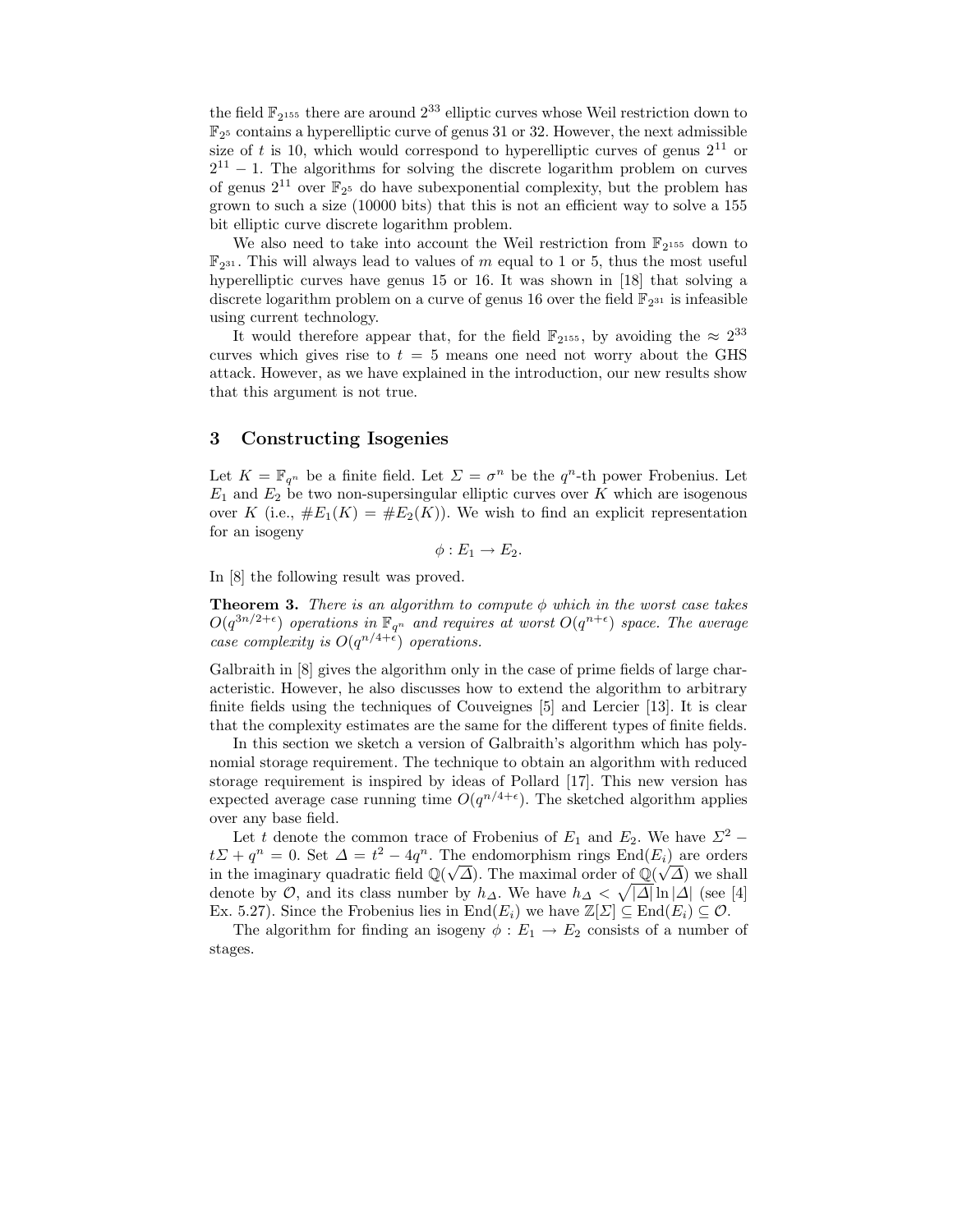the field  $\mathbb{F}_{2^{155}}$  there are around  $2^{33}$  elliptic curves whose Weil restriction down to  $\mathbb{F}_{2^5}$  contains a hyperelliptic curve of genus 31 or 32. However, the next admissible size of t is 10, which would correspond to hyperelliptic curves of genus  $2^{11}$  or  $2^{11} - 1$ . The algorithms for solving the discrete logarithm problem on curves of genus  $2^{11}$  over  $\mathbb{F}_{2^5}$  do have subexponential complexity, but the problem has grown to such a size (10000 bits) that this is not an efficient way to solve a 155 bit elliptic curve discrete logarithm problem.

We also need to take into account the Weil restriction from  $\mathbb{F}_{2^{155}}$  down to  $\mathbb{F}_{2^{31}}$ . This will always lead to values of m equal to 1 or 5, thus the most useful hyperelliptic curves have genus 15 or 16. It was shown in [18] that solving a discrete logarithm problem on a curve of genus 16 over the field  $\mathbb{F}_{2^{31}}$  is infeasible using current technology.

It would therefore appear that, for the field  $\mathbb{F}_{2^{155}}$ , by avoiding the  $\approx 2^{33}$ curves which gives rise to  $t = 5$  means one need not worry about the GHS attack. However, as we have explained in the introduction, our new results show that this argument is not true.

### 3 Constructing Isogenies

Let  $K = \mathbb{F}_{q^n}$  be a finite field. Let  $\Sigma = \sigma^n$  be the  $q^n$ -th power Frobenius. Let  $E_1$  and  $E_2$  be two non-supersingular elliptic curves over K which are isogenous over K (i.e.,  $\#E_1(K) = \#E_2(K)$ ). We wish to find an explicit representation for an isogeny

$$
\phi: E_1 \to E_2.
$$

In [8] the following result was proved.

**Theorem 3.** There is an algorithm to compute  $\phi$  which in the worst case takes  $O(q^{3n/2+\epsilon})$  operations in  $\mathbb{F}_{q^n}$  and requires at worst  $O(q^{n+\epsilon})$  space. The average case complexity is  $O(q^{n/4+\epsilon})$  operations.

Galbraith in [8] gives the algorithm only in the case of prime fields of large characteristic. However, he also discusses how to extend the algorithm to arbitrary finite fields using the techniques of Couveignes [5] and Lercier [13]. It is clear that the complexity estimates are the same for the different types of finite fields.

In this section we sketch a version of Galbraith's algorithm which has polynomial storage requirement. The technique to obtain an algorithm with reduced storage requirement is inspired by ideas of Pollard [17]. This new version has expected average case running time  $O(q^{n/4+\epsilon})$ . The sketched algorithm applies over any base field.

Let t denote the common trace of Frobenius of  $E_1$  and  $E_2$ . We have  $\Sigma^2$  −  $t\mathcal{L} + q^n = 0$ . Set  $\mathcal{L} = t^2 - 4q^n$ . The endomorphism rings  $\text{End}(E_i)$  are orders in the imaginary quadratic field  $\mathbb{Q}(\sqrt{\Delta})$ . The maximal order of  $\mathbb{Q}(\sqrt{\Delta})$  we shall denote by  $\mathcal{O}$ , and its class number by  $h_{\Delta}$ . We have  $h_{\Delta} < \sqrt{|\Delta|} \ln |\Delta|$  (see [4] Ex. 5.27). Since the Frobenius lies in  $\text{End}(E_i)$  we have  $\mathbb{Z}[\Sigma] \subseteq \text{End}(E_i) \subseteq \mathcal{O}$ .

The algorithm for finding an isogeny  $\phi : E_1 \to E_2$  consists of a number of stages.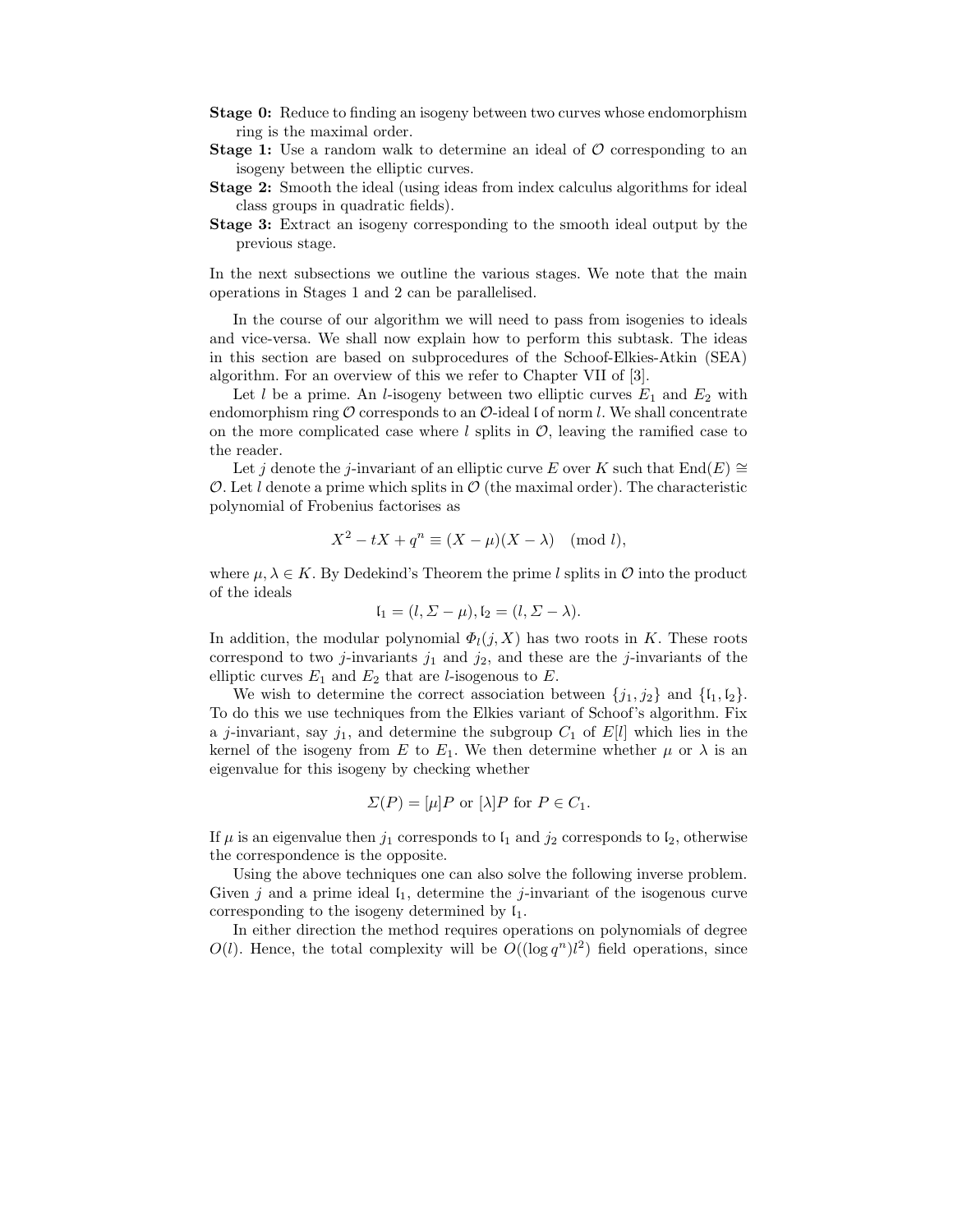- Stage 0: Reduce to finding an isogeny between two curves whose endomorphism ring is the maximal order.
- **Stage 1:** Use a random walk to determine an ideal of  $\mathcal{O}$  corresponding to an isogeny between the elliptic curves.
- Stage 2: Smooth the ideal (using ideas from index calculus algorithms for ideal class groups in quadratic fields).
- Stage 3: Extract an isogeny corresponding to the smooth ideal output by the previous stage.

In the next subsections we outline the various stages. We note that the main operations in Stages 1 and 2 can be parallelised.

In the course of our algorithm we will need to pass from isogenies to ideals and vice-versa. We shall now explain how to perform this subtask. The ideas in this section are based on subprocedures of the Schoof-Elkies-Atkin (SEA) algorithm. For an overview of this we refer to Chapter VII of [3].

Let l be a prime. An l-isogeny between two elliptic curves  $E_1$  and  $E_2$  with endomorphism ring  $\mathcal O$  corresponds to an  $\mathcal O$ -ideal l of norm l. We shall concentrate on the more complicated case where l splits in  $\mathcal{O}$ , leaving the ramified case to the reader.

Let j denote the j-invariant of an elliptic curve E over K such that  $\text{End}(E) \cong$ O. Let l denote a prime which splits in  $\mathcal{O}$  (the maximal order). The characteristic polynomial of Frobenius factorises as

$$
X^2 - tX + q^n \equiv (X - \mu)(X - \lambda) \pmod{l},
$$

where  $\mu, \lambda \in K$ . By Dedekind's Theorem the prime l splits in  $\mathcal O$  into the product of the ideals

$$
I_1 = (l, \Sigma - \mu), I_2 = (l, \Sigma - \lambda).
$$

In addition, the modular polynomial  $\Phi_l(j, X)$  has two roots in K. These roots correspond to two j-invariants  $j_1$  and  $j_2$ , and these are the j-invariants of the elliptic curves  $E_1$  and  $E_2$  that are *l*-isogenous to  $E$ .

We wish to determine the correct association between  $\{j_1, j_2\}$  and  $\{l_1, l_2\}$ . To do this we use techniques from the Elkies variant of Schoof's algorithm. Fix a j-invariant, say  $j_1$ , and determine the subgroup  $C_1$  of  $E[l]$  which lies in the kernel of the isogeny from E to  $E_1$ . We then determine whether  $\mu$  or  $\lambda$  is an eigenvalue for this isogeny by checking whether

$$
\Sigma(P) = [\mu]P \text{ or } [\lambda]P \text{ for } P \in C_1.
$$

If  $\mu$  is an eigenvalue then  $j_1$  corresponds to  $\mathfrak{l}_1$  and  $j_2$  corresponds to  $\mathfrak{l}_2$ , otherwise the correspondence is the opposite.

Using the above techniques one can also solve the following inverse problem. Given j and a prime ideal  $I_1$ , determine the j-invariant of the isogenous curve corresponding to the isogeny determined by  $\mathfrak{l}_1$ .

In either direction the method requires operations on polynomials of degree  $O(l)$ . Hence, the total complexity will be  $O((\log q^n)l^2)$  field operations, since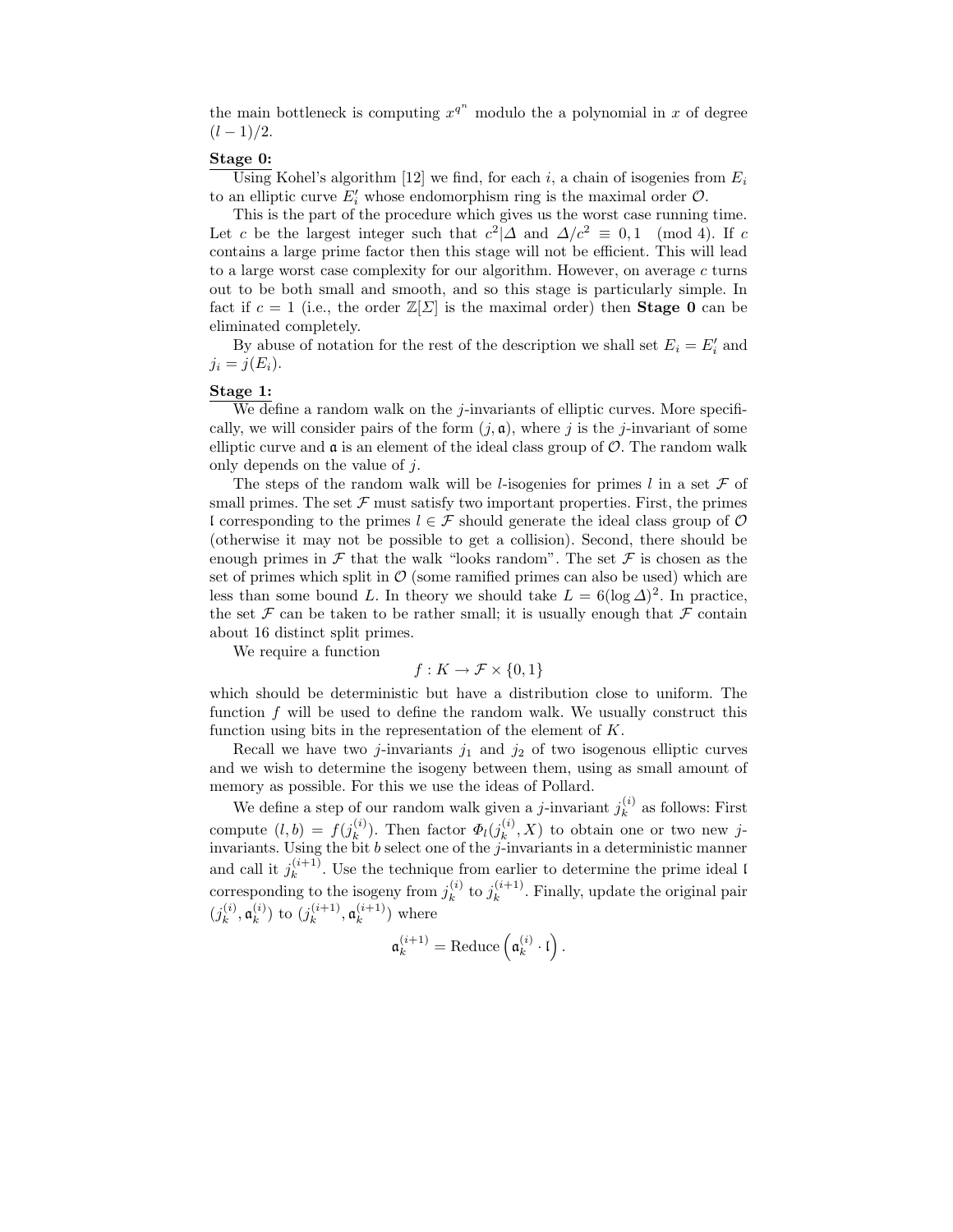the main bottleneck is computing  $x^{q^n}$  modulo the a polynomial in x of degree  $(l-1)/2$ .

#### Stage 0:

Using Kohel's algorithm [12] we find, for each i, a chain of isogenies from  $E_i$ to an elliptic curve  $E'_i$  whose endomorphism ring is the maximal order  $\mathcal{O}$ .

This is the part of the procedure which gives us the worst case running time. Let c be the largest integer such that  $c^2$  | $\Delta$  and  $\Delta/c^2 \equiv 0, 1 \pmod{4}$ . If c contains a large prime factor then this stage will not be efficient. This will lead to a large worst case complexity for our algorithm. However, on average c turns out to be both small and smooth, and so this stage is particularly simple. In fact if  $c = 1$  (i.e., the order  $\mathbb{Z}[\Sigma]$  is the maximal order) then **Stage 0** can be eliminated completely.

By abuse of notation for the rest of the description we shall set  $E_i = E'_i$  and  $j_i = j(E_i).$ 

#### Stage 1:

We define a random walk on the j-invariants of elliptic curves. More specifically, we will consider pairs of the form  $(j, \mathfrak{a})$ , where j is the j-invariant of some elliptic curve and  $\mathfrak a$  is an element of the ideal class group of  $\mathcal O$ . The random walk only depends on the value of  $i$ .

The steps of the random walk will be *l*-isogenies for primes *l* in a set  $\mathcal F$  of small primes. The set  $\mathcal F$  must satisfy two important properties. First, the primes l corresponding to the primes  $l \in \mathcal{F}$  should generate the ideal class group of  $\mathcal{O}$ (otherwise it may not be possible to get a collision). Second, there should be enough primes in  $\mathcal F$  that the walk "looks random". The set  $\mathcal F$  is chosen as the set of primes which split in  $\mathcal{O}$  (some ramified primes can also be used) which are less than some bound L. In theory we should take  $L = 6(\log \Delta)^2$ . In practice, the set  $\mathcal F$  can be taken to be rather small; it is usually enough that  $\mathcal F$  contain about 16 distinct split primes.

We require a function

$$
f: K \to \mathcal{F} \times \{0, 1\}
$$

which should be deterministic but have a distribution close to uniform. The function f will be used to define the random walk. We usually construct this function using bits in the representation of the element of  $K$ .

Recall we have two *j*-invariants  $j_1$  and  $j_2$  of two isogenous elliptic curves and we wish to determine the isogeny between them, using as small amount of memory as possible. For this we use the ideas of Pollard.

We define a step of our random walk given a *j*-invariant  $j_k^{(i)}$  $\binom{v}{k}$  as follows: First compute  $(l,b) = f(j_k^{(i)})$  $\binom{i}{k}$ . Then factor  $\Phi_l(j_k^{(i)})$  $\binom{v}{k}$ , X) to obtain one or two new jinvariants. Using the bit b select one of the j-invariants in a deterministic manner and call it  $j_k^{(i+1)}$  $\binom{n+1}{k}$ . Use the technique from earlier to determine the prime ideal l corresponding to the isogeny from  $j_k^{(i)}$  $_{k}^{(i)}$  to  $j_{k}^{(i+1)}$  $\binom{(i+1)}{k}$ . Finally, update the original pair  $(j_k^{(i)}$  $\mathfrak{a}_k^{(i)},\mathfrak{a}_k^{(i)}$  $\binom{i}{k}$  to  $(j_k^{(i+1)}$  $\binom{i+1}{k}, \mathfrak{a}_k^{(i+1)}$  $\binom{k+1}{k}$  where

$$
\mathfrak{a}_k^{(i+1)} = \text{Reduce}\left(\mathfrak{a}_k^{(i)} \cdot \mathfrak{l}\right).
$$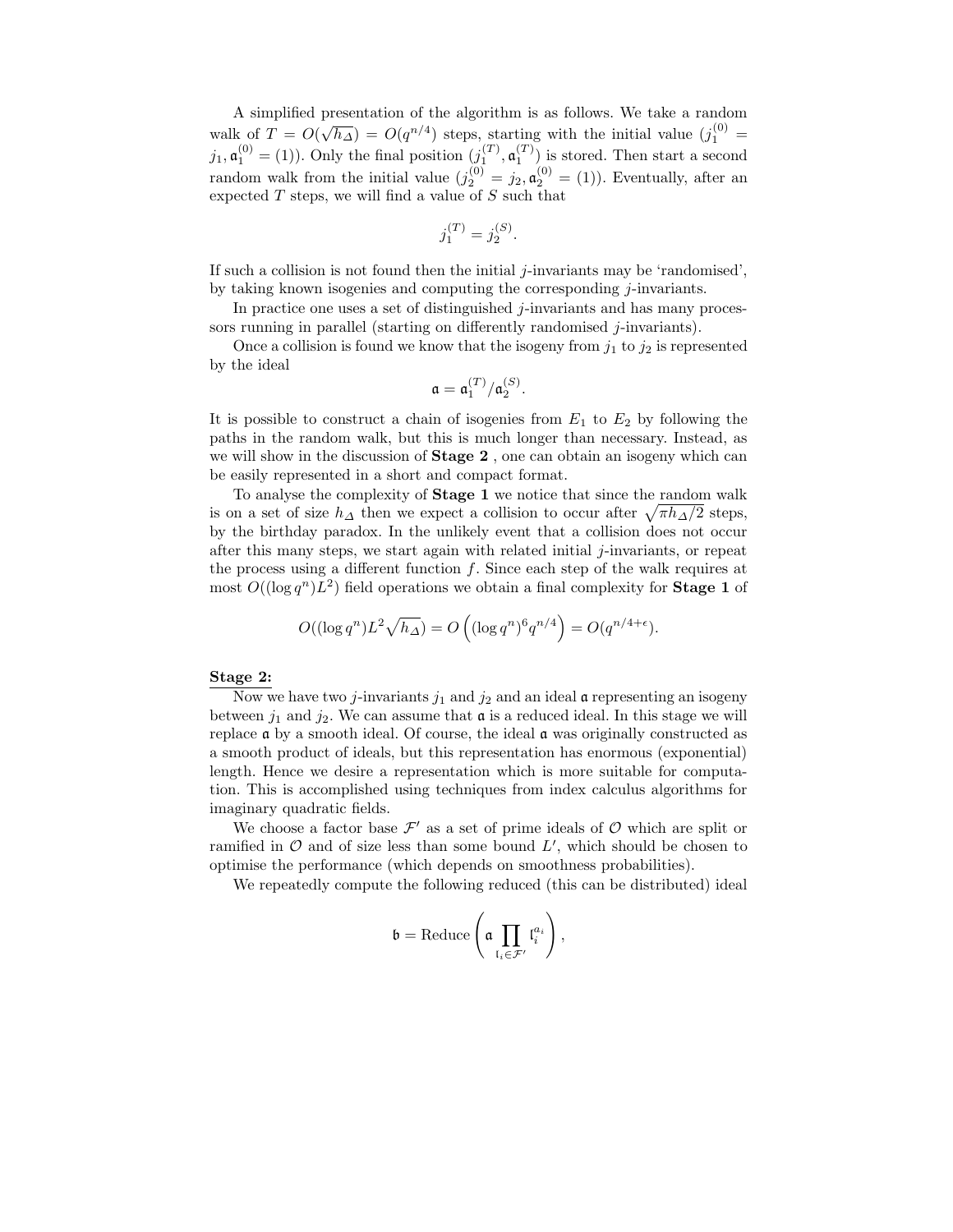A simplified presentation of the algorithm is as follows. We take a random walk of  $T = O(\sqrt{h_{\Delta}}) = O(q^{n/4})$  steps, starting with the initial value  $(j_1^{(0)} =$  $j_1, \mathfrak{a}_1^{(0)} = (1)$ ). Only the final position  $(j_1^{(T)}, \mathfrak{a}_1^{(T)})$  is stored. Then start a second random walk from the initial value  $(j_2^{(0)} = j_2, \mathfrak{a}_2^{(0)} = (1))$ . Eventually, after an expected  $T$  steps, we will find a value of  $S$  such that

$$
j_1^{(T)} = j_2^{(S)}.
$$

If such a collision is not found then the initial  $j$ -invariants may be 'randomised', by taking known isogenies and computing the corresponding j-invariants.

In practice one uses a set of distinguished *j*-invariants and has many processors running in parallel (starting on differently randomised j-invariants).

Once a collision is found we know that the isogeny from  $j_1$  to  $j_2$  is represented by the ideal

$$
\mathfrak{a} = \mathfrak{a}_1^{(T)}/\mathfrak{a}_2^{(S)}.
$$

It is possible to construct a chain of isogenies from  $E_1$  to  $E_2$  by following the paths in the random walk, but this is much longer than necessary. Instead, as we will show in the discussion of **Stage 2**, one can obtain an isogeny which can be easily represented in a short and compact format.

To analyse the complexity of Stage 1 we notice that since the random walk is on a set of size  $h_{\Delta}$  then we expect a collision to occur after  $\sqrt{\pi h_{\Delta}/2}$  steps, by the birthday paradox. In the unlikely event that a collision does not occur after this many steps, we start again with related initial  $j$ -invariants, or repeat the process using a different function  $f$ . Since each step of the walk requires at most  $O((\log q^n)L^2)$  field operations we obtain a final complexity for **Stage 1** of

$$
O((\log q^n)L^2\sqrt{h_{\Delta}}) = O\left((\log q^n)^6 q^{n/4}\right) = O(q^{n/4+\epsilon}).
$$

#### Stage 2:

Now we have two *j*-invariants  $j_1$  and  $j_2$  and an ideal **a** representing an isogeny between  $j_1$  and  $j_2$ . We can assume that  $\mathfrak a$  is a reduced ideal. In this stage we will replace  $\alpha$  by a smooth ideal. Of course, the ideal  $\alpha$  was originally constructed as a smooth product of ideals, but this representation has enormous (exponential) length. Hence we desire a representation which is more suitable for computation. This is accomplished using techniques from index calculus algorithms for imaginary quadratic fields.

We choose a factor base  $\mathcal{F}'$  as a set of prime ideals of  $\mathcal O$  which are split or ramified in  $\mathcal O$  and of size less than some bound  $L'$ , which should be chosen to optimise the performance (which depends on smoothness probabilities).

We repeatedly compute the following reduced (this can be distributed) ideal

$$
\mathfrak{b} = \text{Reduce}\left(\mathfrak{a} \prod_{\mathfrak{l}_i \in \mathcal{F}'} \mathfrak{l}_i^{a_i}\right),
$$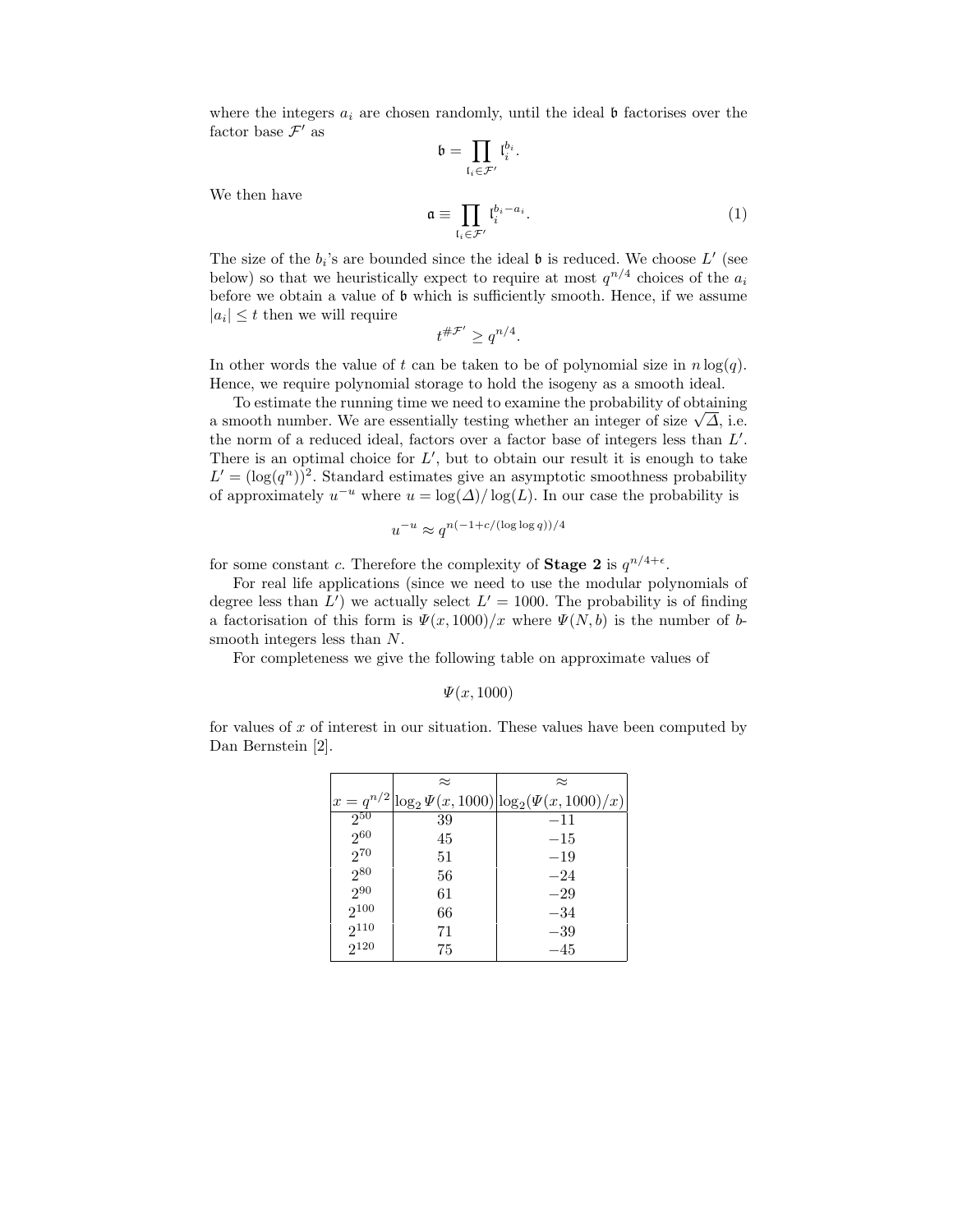where the integers  $a_i$  are chosen randomly, until the ideal  $\mathfrak b$  factorises over the factor base  $\mathcal{F}'$  as

$$
\mathfrak{b}=\prod_{\mathfrak{l}_i\in\mathcal{F}'}\mathfrak{l}_i^{b_i}.
$$

We then have

$$
\mathfrak{a} \equiv \prod_{i_i \in \mathcal{F}'} l_i^{b_i - a_i}.
$$
 (1)

The size of the  $b_i$ 's are bounded since the ideal  $\mathfrak b$  is reduced. We choose  $L'$  (see below) so that we heuristically expect to require at most  $q^{n/4}$  choices of the  $a_i$ before we obtain a value of b which is sufficiently smooth. Hence, if we assume  $|a_i| \leq t$  then we will require

$$
t^{\#\mathcal{F}'} \ge q^{n/4}.
$$

In other words the value of t can be taken to be of polynomial size in  $n \log(q)$ . Hence, we require polynomial storage to hold the isogeny as a smooth ideal.

To estimate the running time we need to examine the probability of obtaining a smooth number. We are essentially testing whether an integer of size  $\sqrt{\Delta}$ , i.e. the norm of a reduced ideal, factors over a factor base of integers less than  $L'$ . There is an optimal choice for  $L'$ , but to obtain our result it is enough to take  $L' = (\log(q^n))^2$ . Standard estimates give an asymptotic smoothness probability of approximately  $u^{-u}$  where  $u = \log(\Delta)/\log(L)$ . In our case the probability is

$$
u^{-u}\approx q^{n(-1+c/(\log\log q))/4}
$$

for some constant c. Therefore the complexity of **Stage 2** is  $q^{n/4+\epsilon}$ .

For real life applications (since we need to use the modular polynomials of degree less than  $L'$ ) we actually select  $L' = 1000$ . The probability is of finding a factorisation of this form is  $\Psi(x, 1000)/x$  where  $\Psi(N, b)$  is the number of bsmooth integers less than N.

For completeness we give the following table on approximate values of

$$
\Psi(x, 1000)
$$

for values of  $x$  of interest in our situation. These values have been computed by Dan Bernstein [2].

|           | $\approx$ | $\approx$                                                  |
|-----------|-----------|------------------------------------------------------------|
|           |           | $x = q^{n/2} \log_2 \Psi(x, 1000) \log_2(\Psi(x, 1000)/x)$ |
| $2^{50}$  | 39        | $-11$                                                      |
| $2^{60}$  | 45        | $-15$                                                      |
| $2^{70}$  | 51        | $-19$                                                      |
| $2^{80}$  | 56        | $-24$                                                      |
| $2^{90}$  | 61        | $-29$                                                      |
| $2^{100}$ | 66        | $-34$                                                      |
| $2^{110}$ | 71        | $-39$                                                      |
| $2^{120}$ | 75        | $-45$                                                      |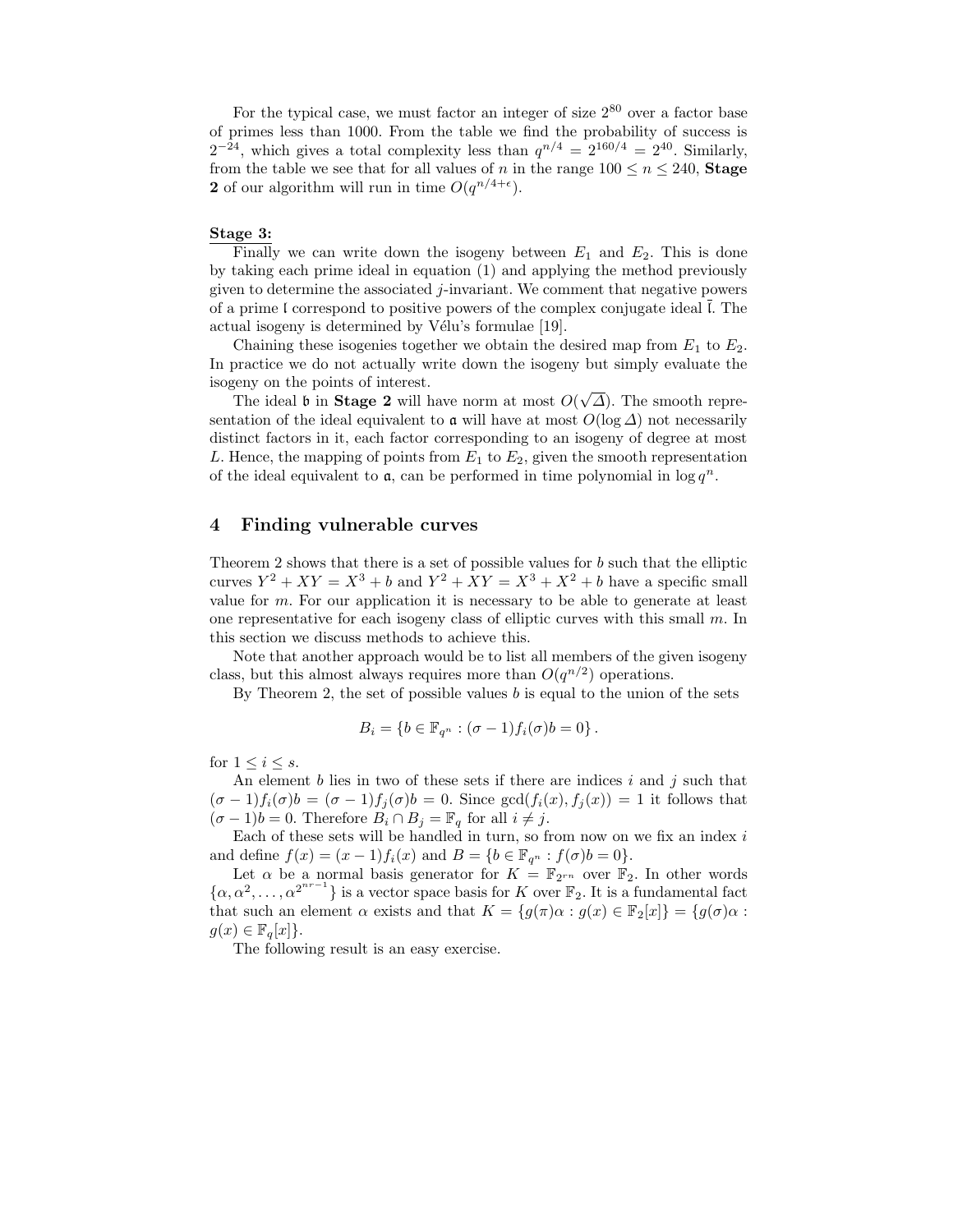For the typical case, we must factor an integer of size  $2^{80}$  over a factor base of primes less than 1000. From the table we find the probability of success is  $2^{-24}$ , which gives a total complexity less than  $q^{n/4} = 2^{160/4} = 2^{40}$ . Similarly, from the table we see that for all values of n in the range  $100 \le n \le 240$ , **Stage** 2 of our algorithm will run in time  $O(q^{n/4+\epsilon})$ .

#### Stage 3:

Finally we can write down the isogeny between  $E_1$  and  $E_2$ . This is done by taking each prime ideal in equation (1) and applying the method previously given to determine the associated j-invariant. We comment that negative powers of a prime I correspond to positive powers of the complex conjugate ideal  $\overline{l}$ . The actual isogeny is determined by Vélu's formulae [19].

Chaining these isogenies together we obtain the desired map from  $E_1$  to  $E_2$ . In practice we do not actually write down the isogeny but simply evaluate the isogeny on the points of interest.

The ideal b in **Stage 2** will have norm at most  $O(\sqrt{\Delta})$ . The smooth representation of the ideal equivalent to  $\alpha$  will have at most  $O(\log \Delta)$  not necessarily distinct factors in it, each factor corresponding to an isogeny of degree at most L. Hence, the mapping of points from  $E_1$  to  $E_2$ , given the smooth representation of the ideal equivalent to  $a$ , can be performed in time polynomial in  $\log q^n$ .

### 4 Finding vulnerable curves

Theorem 2 shows that there is a set of possible values for  $b$  such that the elliptic curves  $Y^2 + XY = X^3 + b$  and  $Y^2 + XY = X^3 + X^2 + b$  have a specific small value for  $m$ . For our application it is necessary to be able to generate at least one representative for each isogeny class of elliptic curves with this small  $m$ . In this section we discuss methods to achieve this.

Note that another approach would be to list all members of the given isogeny class, but this almost always requires more than  $O(q^{n/2})$  operations.

By Theorem 2, the set of possible values  $b$  is equal to the union of the sets

$$
B_i = \{b \in \mathbb{F}_{q^n} : (\sigma - 1) f_i(\sigma) b = 0\}.
$$

for  $1 \leq i \leq s$ .

An element  $b$  lies in two of these sets if there are indices  $i$  and  $j$  such that  $(\sigma - 1)f_i(\sigma)$  =  $(\sigma - 1)f_j(\sigma)$  = 0. Since  $gcd(f_i(x), f_j(x)) = 1$  it follows that  $(\sigma - 1)b = 0$ . Therefore  $B_i \cap B_j = \mathbb{F}_q$  for all  $i \neq j$ .

Each of these sets will be handled in turn, so from now on we fix an index  $i$ and define  $f(x) = (x - 1)f_i(x)$  and  $B = \{b \in \mathbb{F}_{q^n} : f(\sigma)b = 0\}.$ 

Let  $\alpha$  be a normal basis generator for  $K = \mathbb{F}_{2^{rn}}$  over  $\mathbb{F}_2$ . In other words  $\{\alpha, \alpha^2, \dots, \alpha^{2^{nr-1}}\}$  is a vector space basis for K over  $\mathbb{F}_2$ . It is a fundamental fact that such an element  $\alpha$  exists and that  $K = \{g(\pi)\alpha : g(x) \in \mathbb{F}_2[x]\} = \{g(\sigma)\alpha : \phi(\pi)\alpha\}$  $g(x) \in \mathbb{F}_q[x]$ .

The following result is an easy exercise.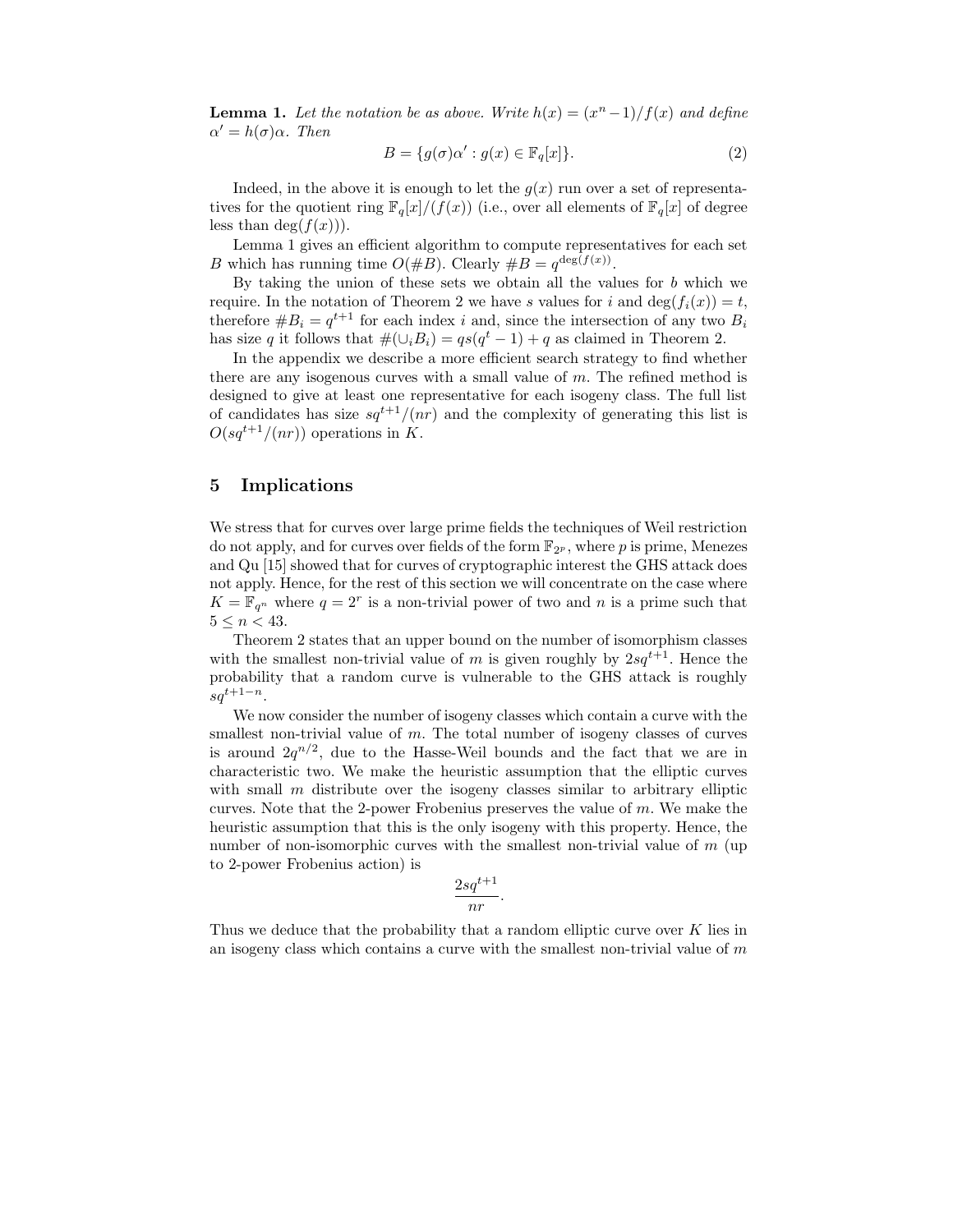**Lemma 1.** Let the notation be as above. Write  $h(x) = (x^n - 1)/f(x)$  and define  $\alpha' = h(\sigma)\alpha$ . Then

$$
B = \{g(\sigma)\alpha' : g(x) \in \mathbb{F}_q[x]\}.
$$
 (2)

Indeed, in the above it is enough to let the  $g(x)$  run over a set of representatives for the quotient ring  $\mathbb{F}_q[x]/(f(x))$  (i.e., over all elements of  $\mathbb{F}_q[x]$  of degree less than  $deg(f(x))$ .

Lemma 1 gives an efficient algorithm to compute representatives for each set B which has running time  $O(\#B)$ . Clearly  $\#B = q^{\deg(f(x))}$ .

By taking the union of these sets we obtain all the values for  $b$  which we require. In the notation of Theorem 2 we have s values for i and deg( $f_i(x)$ ) = t, therefore  $#B_i = q^{t+1}$  for each index i and, since the intersection of any two  $B_i$ has size q it follows that  $\#(\cup_i B_i) = qs(q^t - 1) + q$  as claimed in Theorem 2.

In the appendix we describe a more efficient search strategy to find whether there are any isogenous curves with a small value of m. The refined method is designed to give at least one representative for each isogeny class. The full list of candidates has size  $sq^{t+1}/(nr)$  and the complexity of generating this list is  $O(sq^{t+1}/(nr))$  operations in K.

# 5 Implications

We stress that for curves over large prime fields the techniques of Weil restriction do not apply, and for curves over fields of the form  $\mathbb{F}_{2^p}$ , where p is prime, Menezes and Qu [15] showed that for curves of cryptographic interest the GHS attack does not apply. Hence, for the rest of this section we will concentrate on the case where  $K = \mathbb{F}_{q^n}$  where  $q = 2^r$  is a non-trivial power of two and n is a prime such that  $5 \leq n \leq 43$ .

Theorem 2 states that an upper bound on the number of isomorphism classes with the smallest non-trivial value of m is given roughly by  $2sq^{t+1}$ . Hence the probability that a random curve is vulnerable to the GHS attack is roughly  $sd^{t+1-n}$ .

We now consider the number of isogeny classes which contain a curve with the smallest non-trivial value of  $m$ . The total number of isogeny classes of curves is around  $2q^{n/2}$ , due to the Hasse-Weil bounds and the fact that we are in characteristic two. We make the heuristic assumption that the elliptic curves with small  $m$  distribute over the isogeny classes similar to arbitrary elliptic curves. Note that the 2-power Frobenius preserves the value of  $m$ . We make the heuristic assumption that this is the only isogeny with this property. Hence, the number of non-isomorphic curves with the smallest non-trivial value of  $m$  (up to 2-power Frobenius action) is

$$
\frac{2sq^{t+1}}{nr}.
$$

Thus we deduce that the probability that a random elliptic curve over  $K$  lies in an isogeny class which contains a curve with the smallest non-trivial value of  $m$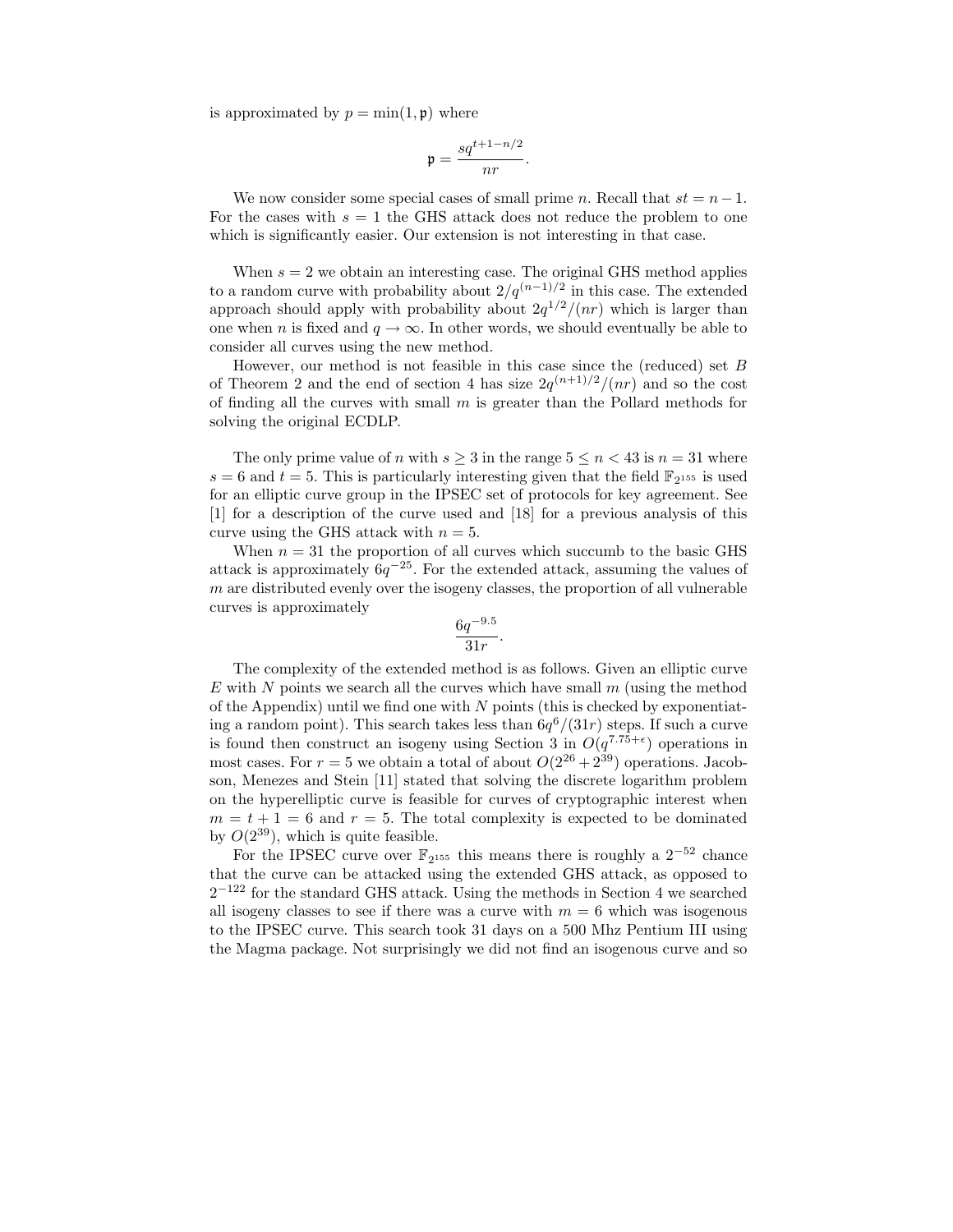is approximated by  $p = \min(1, \mathfrak{p})$  where

$$
\mathfrak{p}=\frac{sq^{t+1-n/2}}{nr}.
$$

We now consider some special cases of small prime n. Recall that  $st = n - 1$ . For the cases with  $s = 1$  the GHS attack does not reduce the problem to one which is significantly easier. Our extension is not interesting in that case.

When  $s = 2$  we obtain an interesting case. The original GHS method applies to a random curve with probability about  $2/q^{(n-1)/2}$  in this case. The extended approach should apply with probability about  $2q^{1/2}/(nr)$  which is larger than one when n is fixed and  $q \to \infty$ . In other words, we should eventually be able to consider all curves using the new method.

However, our method is not feasible in this case since the (reduced) set B of Theorem 2 and the end of section 4 has size  $2q^{(n+1)/2}/(nr)$  and so the cost of finding all the curves with small  $m$  is greater than the Pollard methods for solving the original ECDLP.

The only prime value of n with  $s \geq 3$  in the range  $5 \leq n < 43$  is  $n = 31$  where  $s = 6$  and  $t = 5$ . This is particularly interesting given that the field  $\mathbb{F}_{2^{155}}$  is used for an elliptic curve group in the IPSEC set of protocols for key agreement. See [1] for a description of the curve used and [18] for a previous analysis of this curve using the GHS attack with  $n = 5$ .

When  $n = 31$  the proportion of all curves which succumb to the basic GHS attack is approximately  $6q^{-25}$ . For the extended attack, assuming the values of  $m$  are distributed evenly over the isogeny classes, the proportion of all vulnerable curves is approximately

$$
\frac{6q^{-9.5}}{31r}.
$$

The complexity of the extended method is as follows. Given an elliptic curve E with N points we search all the curves which have small  $m$  (using the method of the Appendix) until we find one with  $N$  points (this is checked by exponentiating a random point). This search takes less than  $6q^{6}/(31r)$  steps. If such a curve is found then construct an isogeny using Section 3 in  $O(q^{7.75+\epsilon})$  operations in most cases. For  $r = 5$  we obtain a total of about  $O(2^{26} + 2^{39})$  operations. Jacobson, Menezes and Stein [11] stated that solving the discrete logarithm problem on the hyperelliptic curve is feasible for curves of cryptographic interest when  $m = t + 1 = 6$  and  $r = 5$ . The total complexity is expected to be dominated by  $O(2^{39})$ , which is quite feasible.

For the IPSEC curve over  $\mathbb{F}_{2^{155}}$  this means there is roughly a  $2^{-52}$  chance that the curve can be attacked using the extended GHS attack, as opposed to  $2^{-122}$  for the standard GHS attack. Using the methods in Section 4 we searched all isogeny classes to see if there was a curve with  $m = 6$  which was isogenous to the IPSEC curve. This search took 31 days on a 500 Mhz Pentium III using the Magma package. Not surprisingly we did not find an isogenous curve and so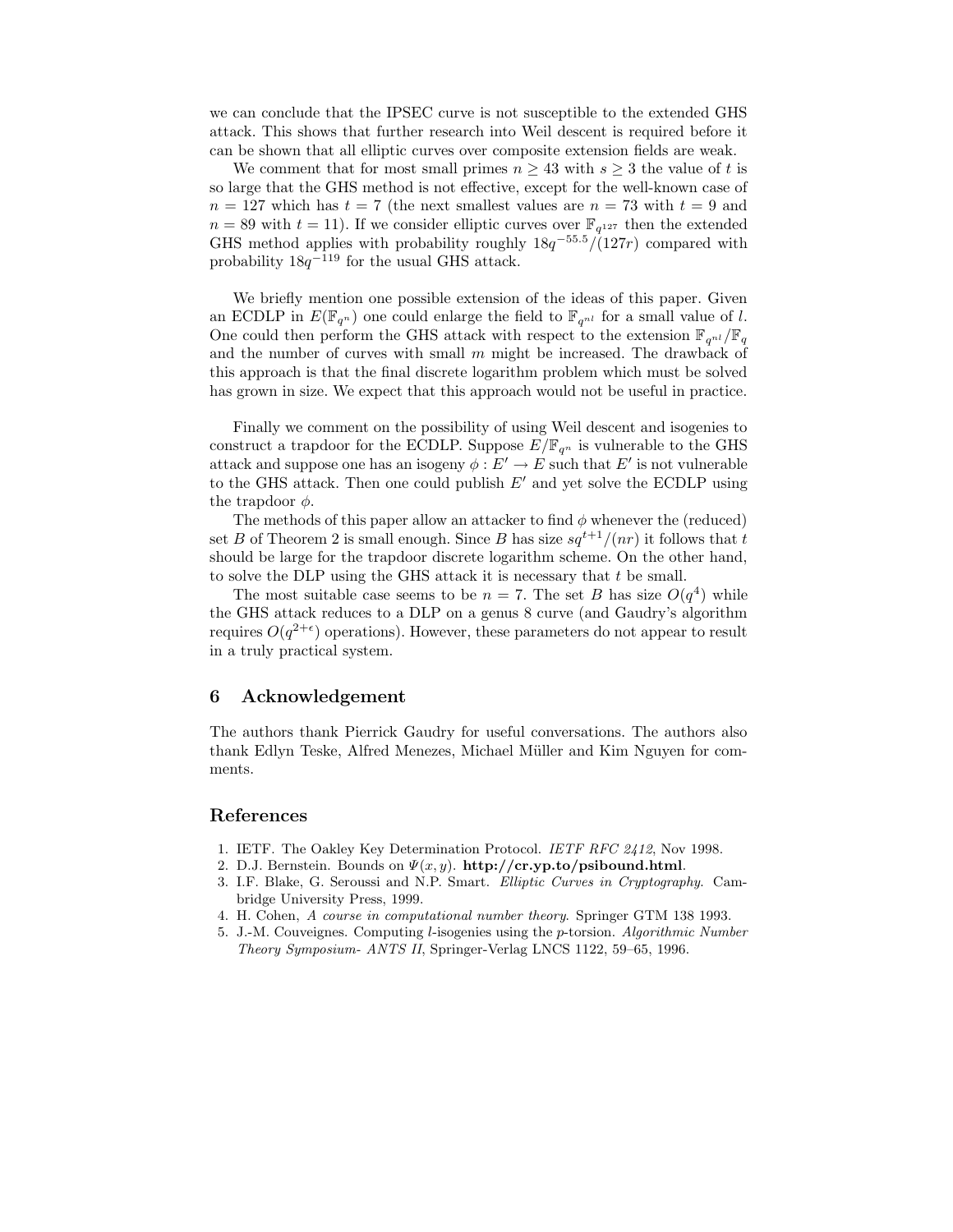we can conclude that the IPSEC curve is not susceptible to the extended GHS attack. This shows that further research into Weil descent is required before it can be shown that all elliptic curves over composite extension fields are weak.

We comment that for most small primes  $n \geq 43$  with  $s \geq 3$  the value of t is so large that the GHS method is not effective, except for the well-known case of  $n = 127$  which has  $t = 7$  (the next smallest values are  $n = 73$  with  $t = 9$  and  $n = 89$  with  $t = 11$ ). If we consider elliptic curves over  $\mathbb{F}_{q^{127}}$  then the extended GHS method applies with probability roughly  $18q^{-55.5}/(127r)$  compared with probability  $18q^{-119}$  for the usual GHS attack.

We briefly mention one possible extension of the ideas of this paper. Given an ECDLP in  $E(\mathbb{F}_{q^n})$  one could enlarge the field to  $\mathbb{F}_{q^{nl}}$  for a small value of l. One could then perform the GHS attack with respect to the extension  $\mathbb{F}_{q^{nl}}/\mathbb{F}_q$ and the number of curves with small  $m$  might be increased. The drawback of this approach is that the final discrete logarithm problem which must be solved has grown in size. We expect that this approach would not be useful in practice.

Finally we comment on the possibility of using Weil descent and isogenies to construct a trapdoor for the ECDLP. Suppose  $E/\mathbb{F}_{q^n}$  is vulnerable to the GHS attack and suppose one has an isogeny  $\phi: E' \to E$  such that  $E'$  is not vulnerable to the GHS attack. Then one could publish  $E'$  and yet solve the ECDLP using the trapdoor  $\phi$ .

The methods of this paper allow an attacker to find  $\phi$  whenever the (reduced) set B of Theorem 2 is small enough. Since B has size  $sq^{t+1}/(nr)$  it follows that t should be large for the trapdoor discrete logarithm scheme. On the other hand, to solve the DLP using the GHS attack it is necessary that t be small.

The most suitable case seems to be  $n = 7$ . The set B has size  $O(q^4)$  while the GHS attack reduces to a DLP on a genus 8 curve (and Gaudry's algorithm requires  $O(q^{2+\epsilon})$  operations). However, these parameters do not appear to result in a truly practical system.

#### 6 Acknowledgement

The authors thank Pierrick Gaudry for useful conversations. The authors also thank Edlyn Teske, Alfred Menezes, Michael Müller and Kim Nguyen for comments.

### References

- 1. IETF. The Oakley Key Determination Protocol. IETF RFC 2412, Nov 1998.
- 2. D.J. Bernstein. Bounds on  $\Psi(x, y)$ . http://cr.yp.to/psibound.html.
- 3. I.F. Blake, G. Seroussi and N.P. Smart. Elliptic Curves in Cryptography. Cambridge University Press, 1999.
- 4. H. Cohen, A course in computational number theory. Springer GTM 138 1993.
- 5. J.-M. Couveignes. Computing l-isogenies using the p-torsion. Algorithmic Number Theory Symposium- ANTS II, Springer-Verlag LNCS 1122, 59–65, 1996.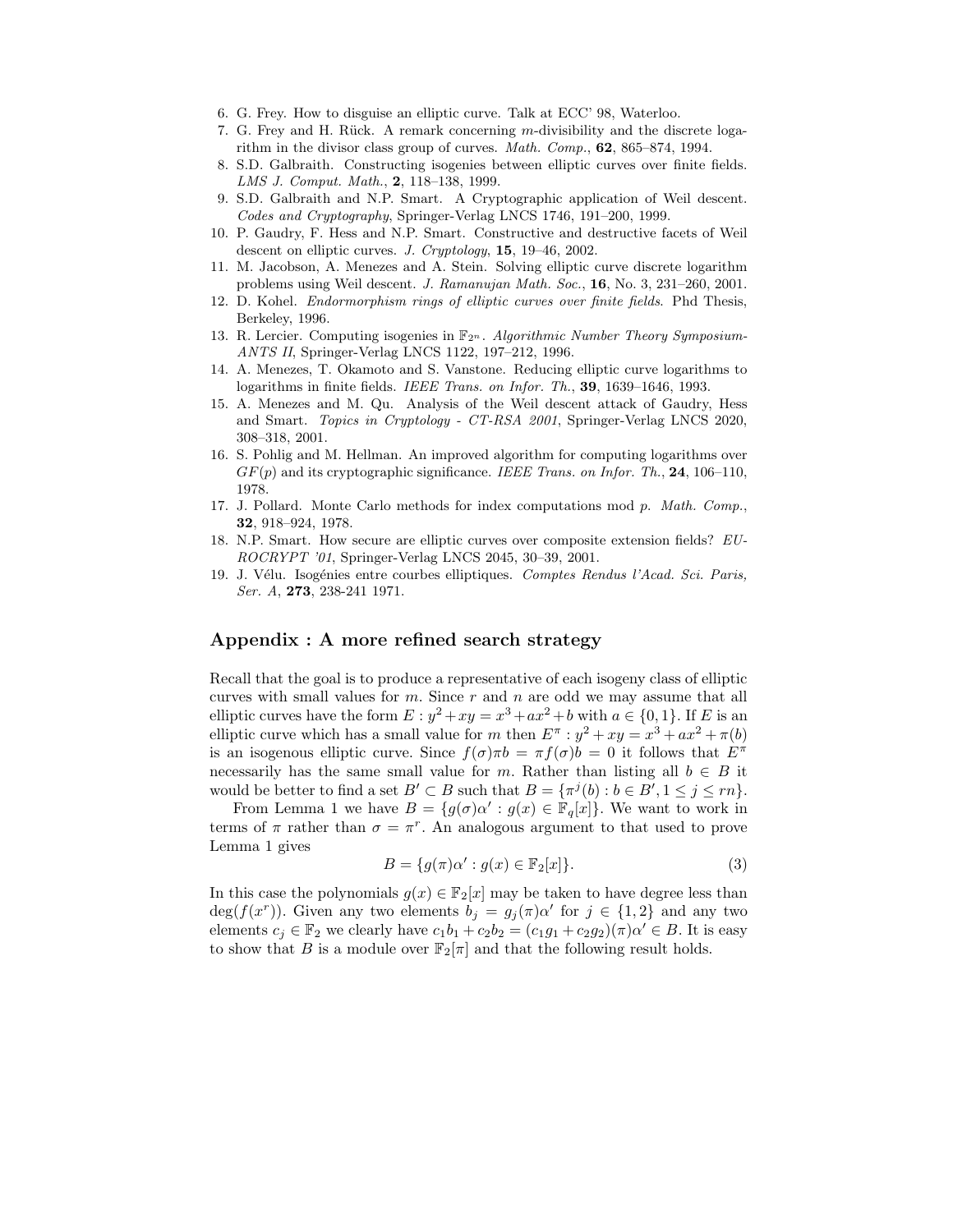- 6. G. Frey. How to disguise an elliptic curve. Talk at ECC' 98, Waterloo.
- 7. G. Frey and H. Rück. A remark concerning m-divisibility and the discrete logarithm in the divisor class group of curves. Math. Comp., 62, 865–874, 1994.
- 8. S.D. Galbraith. Constructing isogenies between elliptic curves over finite fields. LMS J. Comput. Math., 2, 118–138, 1999.
- 9. S.D. Galbraith and N.P. Smart. A Cryptographic application of Weil descent. Codes and Cryptography, Springer-Verlag LNCS 1746, 191–200, 1999.
- 10. P. Gaudry, F. Hess and N.P. Smart. Constructive and destructive facets of Weil descent on elliptic curves. J. Cryptology, 15, 19–46, 2002.
- 11. M. Jacobson, A. Menezes and A. Stein. Solving elliptic curve discrete logarithm problems using Weil descent. J. Ramanujan Math. Soc., 16, No. 3, 231–260, 2001.
- 12. D. Kohel. Endormorphism rings of elliptic curves over finite fields. Phd Thesis, Berkeley, 1996.
- 13. R. Lercier. Computing isogenies in  $\mathbb{F}_{2^n}$ . Algorithmic Number Theory Symposium-ANTS II, Springer-Verlag LNCS 1122, 197–212, 1996.
- 14. A. Menezes, T. Okamoto and S. Vanstone. Reducing elliptic curve logarithms to logarithms in finite fields. IEEE Trans. on Infor. Th., 39, 1639–1646, 1993.
- 15. A. Menezes and M. Qu. Analysis of the Weil descent attack of Gaudry, Hess and Smart. Topics in Cryptology - CT-RSA 2001, Springer-Verlag LNCS 2020, 308–318, 2001.
- 16. S. Pohlig and M. Hellman. An improved algorithm for computing logarithms over  $GF(p)$  and its cryptographic significance. IEEE Trans. on Infor. Th., 24, 106–110, 1978.
- 17. J. Pollard. Monte Carlo methods for index computations mod p. Math. Comp., 32, 918–924, 1978.
- 18. N.P. Smart. How secure are elliptic curves over composite extension fields? EU-ROCRYPT '01, Springer-Verlag LNCS 2045, 30–39, 2001.
- 19. J. Vélu. Isogénies entre courbes elliptiques. Comptes Rendus l'Acad. Sci. Paris, Ser. A, **273**, 238-241 1971.

### Appendix : A more refined search strategy

Recall that the goal is to produce a representative of each isogeny class of elliptic curves with small values for  $m$ . Since  $r$  and  $n$  are odd we may assume that all elliptic curves have the form  $E: y^2 + xy = x^3 + ax^2 + b$  with  $a \in \{0, 1\}$ . If E is an elliptic curve which has a small value for m then  $E^{\pi}$  :  $y^2 + xy = x^3 + ax^2 + \pi(b)$ is an isogenous elliptic curve. Since  $f(\sigma)\pi b = \pi f(\sigma)b = 0$  it follows that  $E^{\pi}$ necessarily has the same small value for m. Rather than listing all  $b \in B$  it would be better to find a set  $B' \subset B$  such that  $B = {\pi^{j}(b) : b \in B', 1 \leq j \leq rn}$ .

From Lemma 1 we have  $B = \{g(\sigma)\alpha' : g(x) \in \mathbb{F}_q[x]\}$ . We want to work in terms of  $\pi$  rather than  $\sigma = \pi^r$ . An analogous argument to that used to prove Lemma 1 gives

$$
B = \{g(\pi)\alpha' : g(x) \in \mathbb{F}_2[x]\}.
$$
\n(3)

In this case the polynomials  $g(x) \in \mathbb{F}_2[x]$  may be taken to have degree less than  $deg(f(x^r))$ . Given any two elements  $b_j = g_j(\pi) \alpha'$  for  $j \in \{1,2\}$  and any two elements  $c_j \in \mathbb{F}_2$  we clearly have  $c_1b_1 + c_2b_2 = (c_1g_1 + c_2g_2)(\pi)\alpha' \in B$ . It is easy to show that B is a module over  $\mathbb{F}_2[\pi]$  and that the following result holds.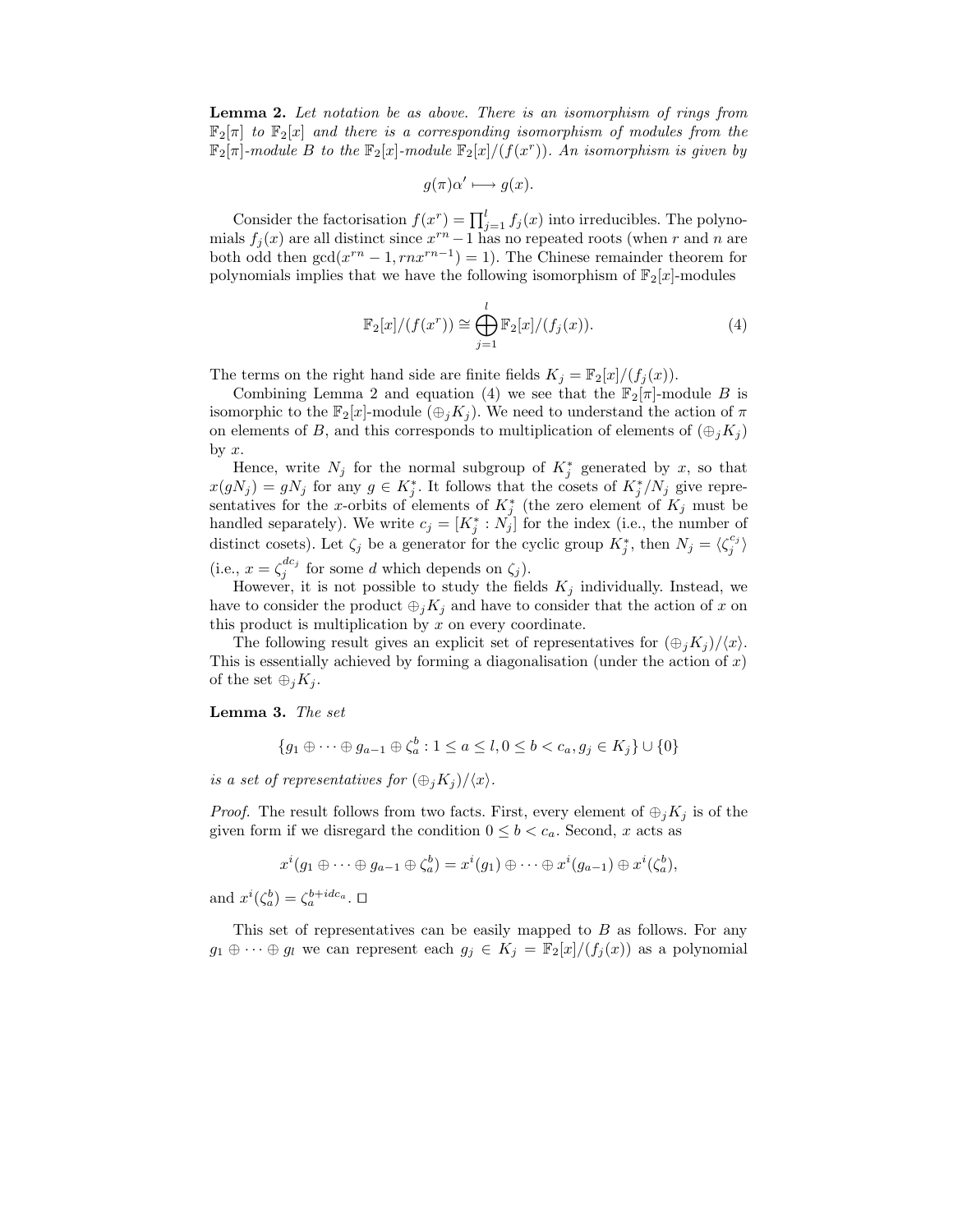Lemma 2. Let notation be as above. There is an isomorphism of rings from  $\mathbb{F}_2[\pi]$  to  $\mathbb{F}_2[x]$  and there is a corresponding isomorphism of modules from the  $\mathbb{F}_2[\pi]$ -module B to the  $\mathbb{F}_2[x]$ -module  $\mathbb{F}_2[x]/(f(x^r))$ . An isomorphism is given by

$$
g(\pi)\alpha' \longmapsto g(x).
$$

Consider the factorisation  $f(x^r) = \prod_{j=1}^{l} f_j(x)$  into irreducibles. The polynomials  $f_j(x)$  are all distinct since  $x^{rn} - 1$  has no repeated roots (when r and n are both odd then  $gcd(x^{rn} - 1, rnx^{rn-1}) = 1)$ . The Chinese remainder theorem for polynomials implies that we have the following isomorphism of  $\mathbb{F}_2[x]$ -modules

$$
\mathbb{F}_2[x]/(f(x^r)) \cong \bigoplus_{j=1}^l \mathbb{F}_2[x]/(f_j(x)).\tag{4}
$$

The terms on the right hand side are finite fields  $K_j = \mathbb{F}_2[x]/(f_j(x)).$ 

Combining Lemma 2 and equation (4) we see that the  $\mathbb{F}_2[\pi]$ -module B is isomorphic to the  $\mathbb{F}_2[x]$ -module  $(\bigoplus_i K_i)$ . We need to understand the action of  $\pi$ on elements of B, and this corresponds to multiplication of elements of  $(\bigoplus_i K_i)$ by  $x$ .

Hence, write  $N_j$  for the normal subgroup of  $K_j^*$  generated by x, so that  $x(gN_j) = gN_j$  for any  $g \in K_j^*$ . It follows that the cosets of  $K_j^*/N_j$  give representatives for the x-orbits of elements of  $K_j^*$  (the zero element of  $K_j$  must be handled separately). We write  $c_j = [K_j^* : N_j]$  for the index (i.e., the number of distinct cosets). Let  $\zeta_j$  be a generator for the cyclic group  $K_j^*$ , then  $N_j = \langle \zeta_j^{c_j} \rangle$ (i.e.,  $x = \zeta_j^{dc_j}$  for some d which depends on  $\zeta_j$ ).

However, it is not possible to study the fields  $K_j$  individually. Instead, we have to consider the product  $\bigoplus_j K_j$  and have to consider that the action of x on this product is multiplication by  $x$  on every coordinate.

The following result gives an explicit set of representatives for  $(\bigoplus_i K_i)/\langle x \rangle$ . This is essentially achieved by forming a diagonalisation (under the action of x) of the set  $\oplus_i K_i$ .

Lemma 3. The set

$$
\{g_1 \oplus \cdots \oplus g_{a-1} \oplus \zeta_a^b : 1 \le a \le l, 0 \le b < c_a, g_j \in K_j\} \cup \{0\}
$$

is a set of representatives for  $(\bigoplus_i K_i)/\langle x \rangle$ .

*Proof.* The result follows from two facts. First, every element of  $\bigoplus_i K_i$  is of the given form if we disregard the condition  $0 \leq b < c_a$ . Second, x acts as

$$
x^{i}(g_1 \oplus \cdots \oplus g_{a-1} \oplus \zeta_a^b) = x^{i}(g_1) \oplus \cdots \oplus x^{i}(g_{a-1}) \oplus x^{i}(\zeta_a^b),
$$

and  $x^{i}(\zeta_{a}^{b}) = \zeta_{a}^{b+ide_{a}}$ .  $\square$ 

This set of representatives can be easily mapped to B as follows. For any  $g_1 \oplus \cdots \oplus g_l$  we can represent each  $g_j \in K_j = \mathbb{F}_2[x]/(f_j(x))$  as a polynomial